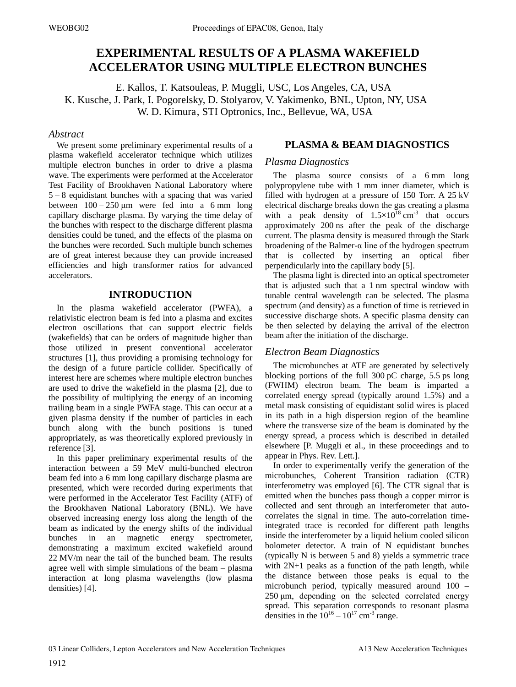# **EXPERIMENTAL RESULTS OF A PLASMA WAKEFIELD ACCELERATOR USING MULTIPLE ELECTRON BUNCHES**

E. Kallos, T. Katsouleas, P. Muggli, USC, Los Angeles, CA, USA K. Kusche, J. Park, I. Pogorelsky, D. Stolyarov, V. Yakimenko, BNL, Upton, NY, USA W. D. Kimura, STI Optronics, Inc., Bellevue, WA, USA

### *Abstract*

We present some preliminary experimental results of a plasma wakefield accelerator technique which utilizes multiple electron bunches in order to drive a plasma wave. The experiments were performed at the Accelerator Test Facility of Brookhaven National Laboratory where  $5 - 8$  equidistant bunches with a spacing that was varied between  $100 - 250 \mu m$  were fed into a 6 mm long capillary discharge plasma. By varying the time delay of the bunches with respect to the discharge different plasma densities could be tuned, and the effects of the plasma on the bunches were recorded. Such multiple bunch schemes are of great interest because they can provide increased efficiencies and high transformer ratios for advanced accelerators.

### **INTRODUCTION**

In the plasma wakefield accelerator (PWFA), a relativistic electron beam is fed into a plasma and excites electron oscillations that can support electric fields (wakefields) that can be orders of magnitude higher than those utilized in present conventional accelerator structures [1], thus providing a promising technology for the design of a future particle collider. Specifically of interest here are schemes where multiple electron bunches are used to drive the wakefield in the plasma [2], due to the possibility of multiplying the energy of an incoming trailing beam in a single PWFA stage. This can occur at a given plasma density if the number of particles in each bunch along with the bunch positions is tuned appropriately, as was theoretically explored previously in reference [3].

In this paper preliminary experimental results of the interaction between a 59 MeV multi-bunched electron beam fed into a 6 mm long capillary discharge plasma are presented, which were recorded during experiments that were performed in the Accelerator Test Facility (ATF) of the Brookhaven National Laboratory (BNL). We have observed increasing energy loss along the length of the beam as indicated by the energy shifts of the individual bunches in an magnetic energy spectrometer, demonstrating a maximum excited wakefield around 22 MV/m near the tail of the bunched beam. The results agree well with simple simulations of the beam  $-$  plasma interaction at long plasma wavelengths (low plasma densities) [4].

# **PLASMA & BEAM DIAGNOSTICS**

### *Plasma Diagnostics*

The plasma source consists of a 6 mm long polypropylene tube with 1 mm inner diameter, which is filled with hydrogen at a pressure of 150 Torr. A 25 kV electrical discharge breaks down the gas creating a plasma with a peak density of  $1.5 \times 10^{18}$  cm<sup>-3</sup> that occurs approximately 200 ns after the peak of the discharge current. The plasma density is measured through the Stark broadening of the Balmer- $\alpha$  line of the hydrogen spectrum that is collected by inserting an optical fiber perpendicularly into the capillary body [5].

The plasma light is directed into an optical spectrometer that is adjusted such that a 1 nm spectral window with tunable central wavelength can be selected. The plasma spectrum (and density) as a function of time is retrieved in successive discharge shots. A specific plasma density can be then selected by delaying the arrival of the electron beam after the initiation of the discharge.

## *Electron Beam Diagnostics*

The microbunches at ATF are generated by selectively blocking portions of the full 300 pC charge, 5.5 ps long (FWHM) electron beam. The beam is imparted a correlated energy spread (typically around 1.5%) and a metal mask consisting of equidistant solid wires is placed in its path in a high dispersion region of the beamline where the transverse size of the beam is dominated by the energy spread, a process which is described in detailed elsewhere [P. Muggli et al., in these proceedings and to appear in Phys. Rev. Lett.].

In order to experimentally verify the generation of the microbunches, Coherent Transition radiation (CTR) interferometry was employed [6]. The CTR signal that is emitted when the bunches pass though a copper mirror is collected and sent through an interferometer that autocorrelates the signal in time. The auto-correlation timeintegrated trace is recorded for different path lengths inside the interferometer by a liquid helium cooled silicon bolometer detector. A train of N equidistant bunches (typically N is between 5 and 8) yields a symmetric trace with  $2N+1$  peaks as a function of the path length, while the distance between those peaks is equal to the microbunch period, typically measured around  $100 250 \mu m$ , depending on the selected correlated energy spread. This separation corresponds to resonant plasma densities in the  $10^{16} - 10^{17}$  cm<sup>-3</sup> range.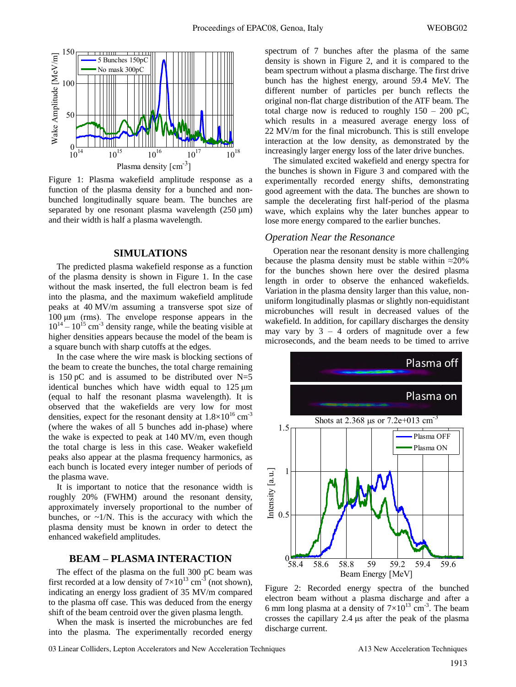

Figure 1: Plasma wakefield amplitude response as a function of the plasma density for a bunched and nonbunched longitudinally square beam. The bunches are separated by one resonant plasma wavelength  $(250 \mu m)$ and their width is half a plasma wavelength.

#### **SIMULATIONS**

The predicted plasma wakefield response as a function of the plasma density is shown in Figure 1. In the case without the mask inserted, the full electron beam is fed into the plasma, and the maximum wakefield amplitude peaks at 40 MV/m assuming a transverse spot size of  $100 \mu m$  (rms). The envelope response appears in the  $10^{14} - 10^{15}$  cm<sup>-3</sup> density range, while the beating visible at higher densities appears because the model of the beam is a square bunch with sharp cutoffs at the edges.

In the case where the wire mask is blocking sections of the beam to create the bunches, the total charge remaining is 150 pC and is assumed to be distributed over  $N=5$ identical bunches which have width equal to  $125 \text{ µm}$ (equal to half the resonant plasma wavelength). It is observed that the wakefields are very low for most densities, expect for the resonant density at  $1.8\times10^{16}$  cm<sup>-3</sup> (where the wakes of all 5 bunches add in-phase) where the wake is expected to peak at 140 MV/m, even though the total charge is less in this case. Weaker wakefield peaks also appear at the plasma frequency harmonics, as each bunch is located every integer number of periods of the plasma wave.

It is important to notice that the resonance width is roughly 20% (FWHM) around the resonant density, approximately inversely proportional to the number of bunches, or  $\sim 1/N$ . This is the accuracy with which the plasma density must be known in order to detect the enhanced wakefield amplitudes.

#### **BEAM ± PLASMA INTERACTION**

The effect of the plasma on the full 300 pC beam was first recorded at a low density of  $7 \times 10^{13}$  cm<sup>-3</sup> (not shown), indicating an energy loss gradient of 35 MV/m compared to the plasma off case. This was deduced from the energy shift of the beam centroid over the given plasma length.

When the mask is inserted the microbunches are fed into the plasma. The experimentally recorded energy spectrum of 7 bunches after the plasma of the same density is shown in Figure 2, and it is compared to the beam spectrum without a plasma discharge. The first drive bunch has the highest energy, around 59.4 MeV. The different number of particles per bunch reflects the original non-flat charge distribution of the ATF beam. The total charge now is reduced to roughly  $150 - 200$  pC, which results in a measured average energy loss of 22 MV/m for the final microbunch. This is still envelope interaction at the low density, as demonstrated by the increasingly larger energy loss of the later drive bunches.

The simulated excited wakefield and energy spectra for the bunches is shown in Figure 3 and compared with the experimentally recorded energy shifts, demonstrating good agreement with the data. The bunches are shown to sample the decelerating first half-period of the plasma wave, which explains why the later bunches appear to lose more energy compared to the earlier bunches.

#### *Operation Near the Resonance*

Operation near the resonant density is more challenging because the plasma density must be stable within  $\approx 20\%$ for the bunches shown here over the desired plasma length in order to observe the enhanced wakefields. Variation in the plasma density larger than this value, nonuniform longitudinally plasmas or slightly non-equidistant microbunches will result in decreased values of the wakefield. In addition, for capillary discharges the density may vary by  $3 - 4$  orders of magnitude over a few microseconds, and the beam needs to be timed to arrive



Figure 2: Recorded energy spectra of the bunched electron beam without a plasma discharge and after a 6 mm long plasma at a density of  $7\times10^{13}$  cm<sup>-3</sup>. The beam crosses the capillary  $2.4 \mu s$  after the peak of the plasma discharge current.